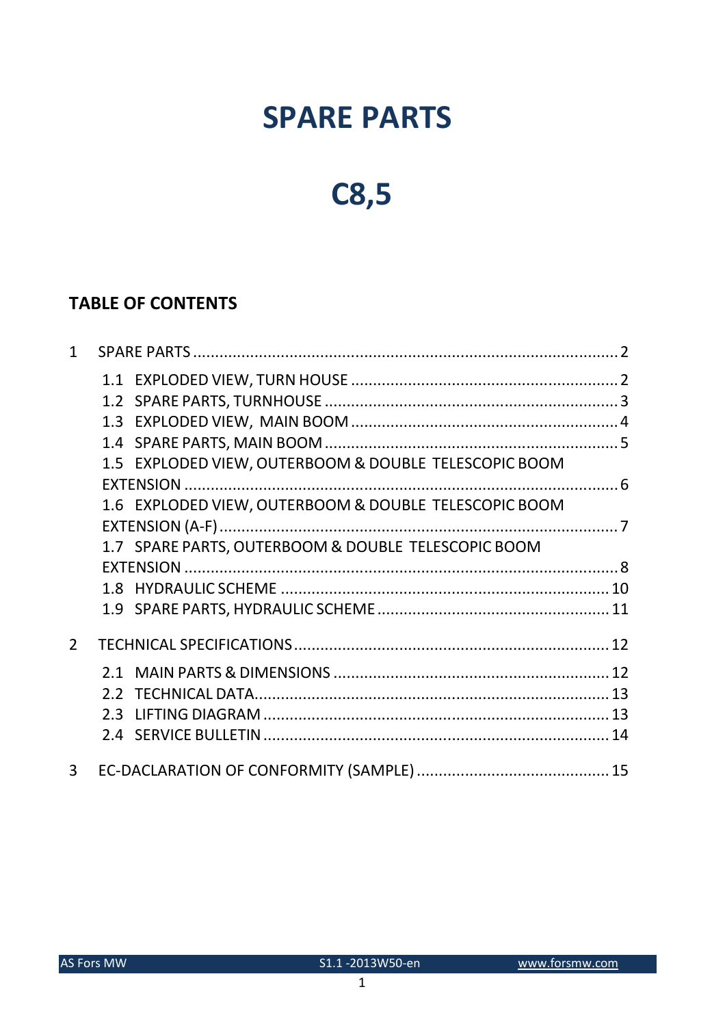## **SPARE PARTS**

# **C8,5**

## **TABLE OF CONTENTS**

| $\mathbf{1}$   |                                                       |  |
|----------------|-------------------------------------------------------|--|
|                |                                                       |  |
|                |                                                       |  |
|                |                                                       |  |
|                |                                                       |  |
|                | 1.5 EXPLODED VIEW, OUTERBOOM & DOUBLE TELESCOPIC BOOM |  |
|                |                                                       |  |
|                | 1.6 EXPLODED VIEW, OUTERBOOM & DOUBLE TELESCOPIC BOOM |  |
|                |                                                       |  |
|                | 1.7 SPARE PARTS, OUTERBOOM & DOUBLE TELESCOPIC BOOM   |  |
|                |                                                       |  |
|                |                                                       |  |
|                |                                                       |  |
| $\overline{2}$ |                                                       |  |
|                |                                                       |  |
|                |                                                       |  |
|                |                                                       |  |
|                |                                                       |  |
| $\overline{3}$ |                                                       |  |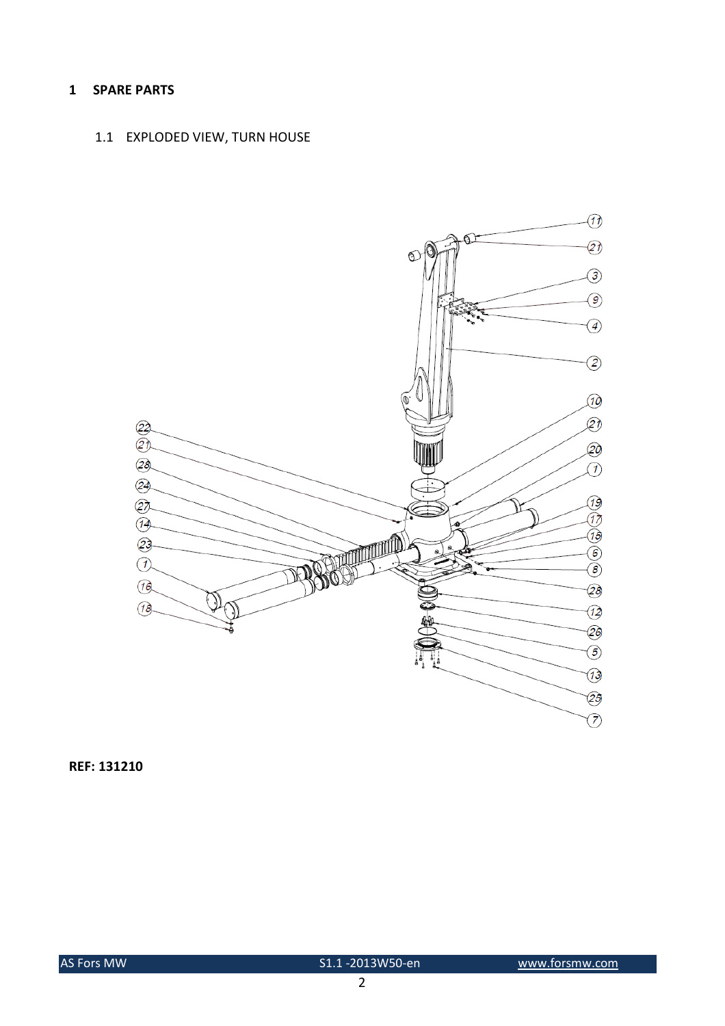#### 1 SPARE PARTS

### 1.1 EXPLODED VIEW, TURN HOUSE

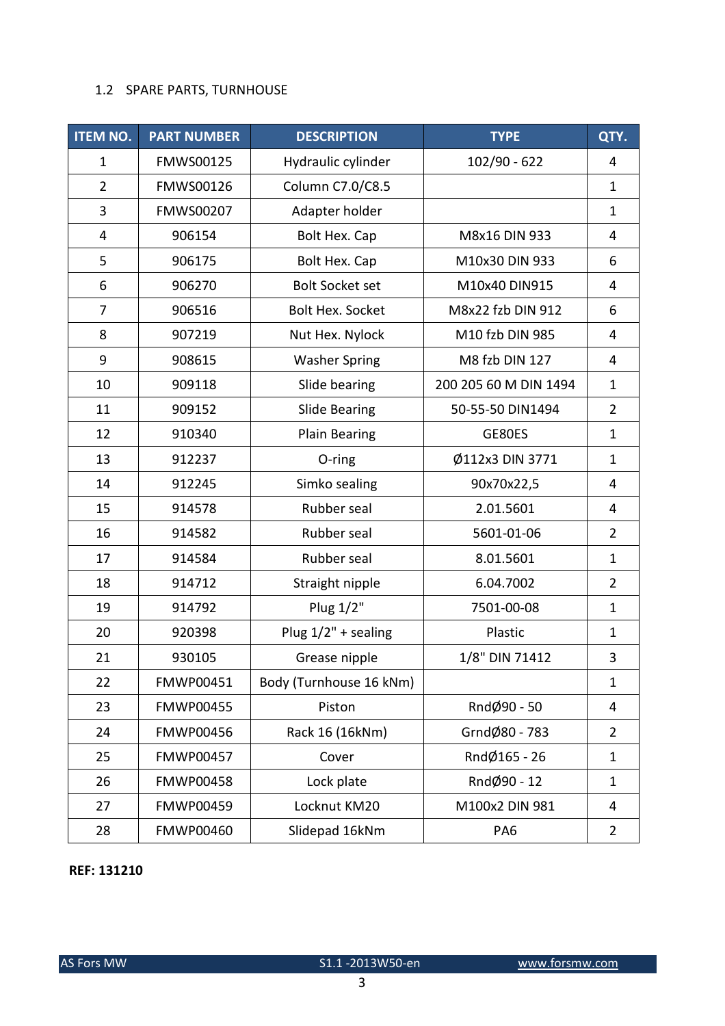#### 1.2 SPARE PARTS, TURNHOUSE

| <b>ITEM NO.</b>           | <b>PART NUMBER</b><br><b>DESCRIPTION</b> |                         | <b>TYPE</b>           | QTY.           |
|---------------------------|------------------------------------------|-------------------------|-----------------------|----------------|
| $\mathbf{1}$              | FMWS00125                                | Hydraulic cylinder      | $102/90 - 622$        | 4              |
| $\overline{2}$            | FMWS00126<br>Column C7.0/C8.5            |                         |                       | $\mathbf{1}$   |
| 3                         | <b>FMWS00207</b>                         | Adapter holder          |                       | $\mathbf{1}$   |
| 4                         | 906154                                   | Bolt Hex. Cap           | M8x16 DIN 933         | 4              |
| 5                         | 906175                                   | Bolt Hex. Cap           | M10x30 DIN 933        | 6              |
| 6                         | 906270                                   | <b>Bolt Socket set</b>  | M10x40 DIN915         | 4              |
| $\overline{7}$            | 906516                                   | <b>Bolt Hex. Socket</b> | M8x22 fzb DIN 912     | 6              |
| 8                         | 907219                                   | Nut Hex. Nylock         | M10 fzb DIN 985       | 4              |
| 9                         | 908615                                   | <b>Washer Spring</b>    | M8 fzb DIN 127        | 4              |
| 10                        | 909118                                   | Slide bearing           | 200 205 60 M DIN 1494 | $\mathbf{1}$   |
| 11                        | 909152                                   | <b>Slide Bearing</b>    | 50-55-50 DIN1494      | $\overline{2}$ |
| 12                        | 910340                                   | Plain Bearing           | GE80ES                | $\mathbf{1}$   |
| 13                        | 912237                                   | O-ring                  | Ø112x3 DIN 3771       | $\mathbf{1}$   |
| 14                        | 912245                                   | Simko sealing           | 90x70x22,5            | 4              |
| 15                        | 914578                                   | Rubber seal             | 2.01.5601             | 4              |
| 16                        | 914582                                   | Rubber seal             | 5601-01-06            | $\overline{2}$ |
| 17                        | 914584                                   | Rubber seal             | 8.01.5601             | $\mathbf{1}$   |
| 18<br>914712              |                                          | Straight nipple         | 6.04.7002             | $\overline{2}$ |
| 19<br>Plug 1/2"<br>914792 |                                          |                         | 7501-00-08            | $\mathbf{1}$   |
| 20                        | 920398                                   | Plug $1/2"$ + sealing   | Plastic               | $\mathbf{1}$   |
| 21                        | 930105                                   | Grease nipple           | 1/8" DIN 71412        | 3              |
| 22                        | FMWP00451                                | Body (Turnhouse 16 kNm) |                       | $\mathbf{1}$   |
| 23                        | <b>FMWP00455</b>                         | Piston                  | RndØ90 - 50           | 4              |
| 24                        | <b>FMWP00456</b>                         | Rack 16 (16kNm)         | GrndØ80 - 783         | $\overline{2}$ |
| 25                        | <b>FMWP00457</b>                         | Cover                   | RndØ165 - 26          | $\mathbf{1}$   |
| 26                        | <b>FMWP00458</b>                         | Lock plate              | RndØ90 - 12           | $\mathbf{1}$   |
| 27                        | FMWP00459                                | Locknut KM20            | M100x2 DIN 981        | 4              |
| 28<br><b>FMWP00460</b>    |                                          | Slidepad 16kNm          | PA <sub>6</sub>       | $\overline{2}$ |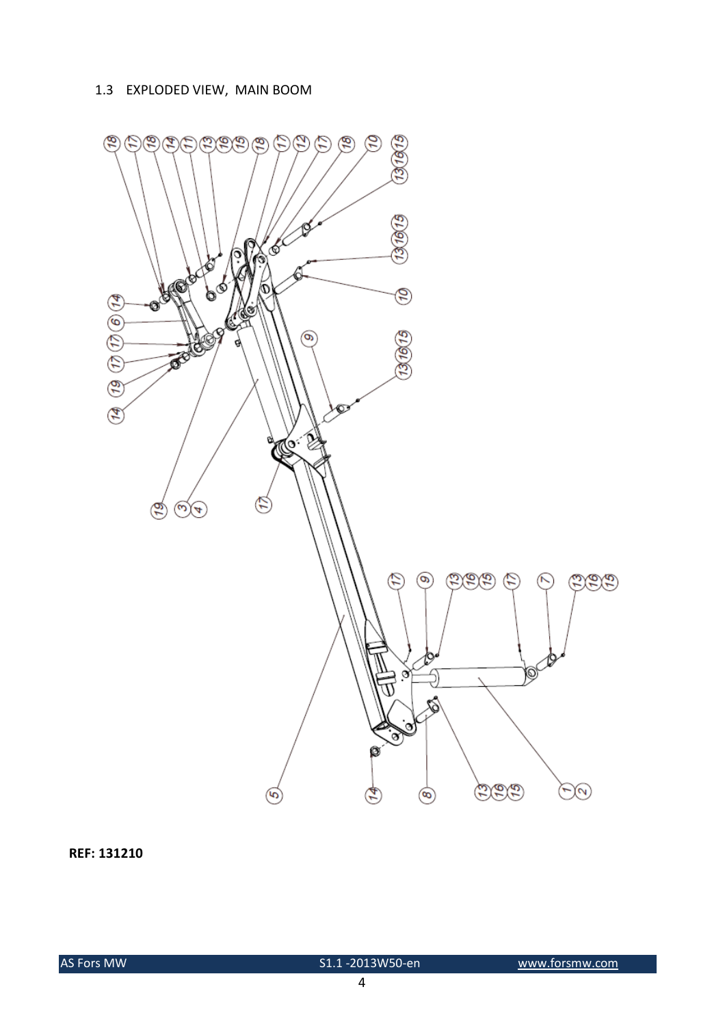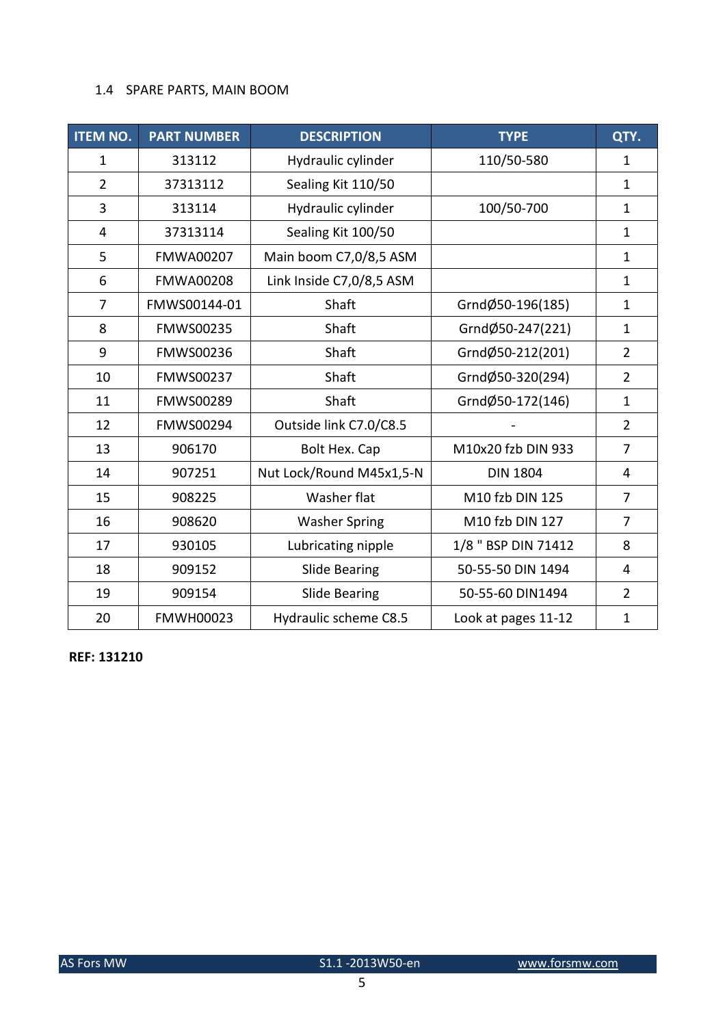## 1.4 SPARE PARTS, MAIN BOOM

| <b>ITEM NO.</b>                                 | <b>PART NUMBER</b> | <b>DESCRIPTION</b>       | <b>TYPE</b>         | QTY.           |
|-------------------------------------------------|--------------------|--------------------------|---------------------|----------------|
| $\mathbf{1}$                                    | 313112             | Hydraulic cylinder       | 110/50-580          | $\mathbf{1}$   |
| $\overline{2}$                                  | 37313112           | Sealing Kit 110/50       |                     | $\mathbf{1}$   |
| 3                                               | 313114             | Hydraulic cylinder       | 100/50-700          | $\mathbf{1}$   |
| 4                                               | 37313114           | Sealing Kit 100/50       |                     | $\mathbf{1}$   |
| 5                                               | <b>FMWA00207</b>   | Main boom C7,0/8,5 ASM   |                     | $\mathbf{1}$   |
| 6                                               | <b>FMWA00208</b>   | Link Inside C7,0/8,5 ASM |                     | $\mathbf{1}$   |
| $\overline{7}$                                  | FMWS00144-01       | Shaft                    | GrndØ50-196(185)    | $\mathbf{1}$   |
| 8                                               | FMWS00235          | Shaft                    | GrndØ50-247(221)    | $\mathbf{1}$   |
| FMWS00236<br>9                                  |                    | Shaft                    | GrndØ50-212(201)    | $\overline{2}$ |
| 10                                              | Shaft<br>FMWS00237 |                          | GrndØ50-320(294)    | $\overline{2}$ |
| 11                                              | FMWS00289          | Shaft                    | GrndØ50-172(146)    | $\mathbf{1}$   |
| 12                                              | <b>FMWS00294</b>   | Outside link C7.0/C8.5   |                     | $\overline{2}$ |
| 13<br>906170                                    |                    | Bolt Hex. Cap            | M10x20 fzb DIN 933  | $\overline{7}$ |
| 14<br>907251                                    |                    | Nut Lock/Round M45x1,5-N | <b>DIN 1804</b>     | 4              |
| 15                                              | 908225             | Washer flat              | M10 fzb DIN 125     | 7              |
| 16<br>908620                                    |                    | <b>Washer Spring</b>     | M10 fzb DIN 127     | $\overline{7}$ |
| 930105<br>17                                    |                    | Lubricating nipple       | 1/8 " BSP DIN 71412 | 8              |
| 18<br>909152                                    |                    | <b>Slide Bearing</b>     | 50-55-50 DIN 1494   | 4              |
| 19                                              | 909154             | <b>Slide Bearing</b>     | 50-55-60 DIN1494    | $\overline{2}$ |
| 20<br><b>FMWH00023</b><br>Hydraulic scheme C8.5 |                    | Look at pages 11-12      | $\mathbf{1}$        |                |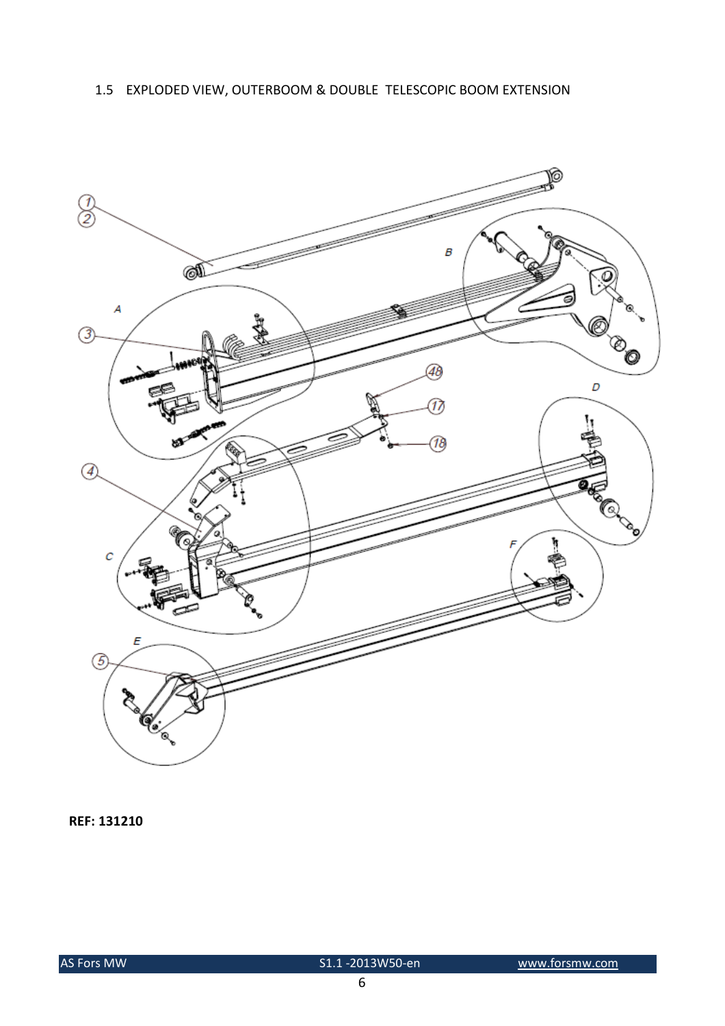## 1.5 EXPLODED VIEW, OUTERBOOM & DOUBLE TELESCOPIC BOOM EXTENSION

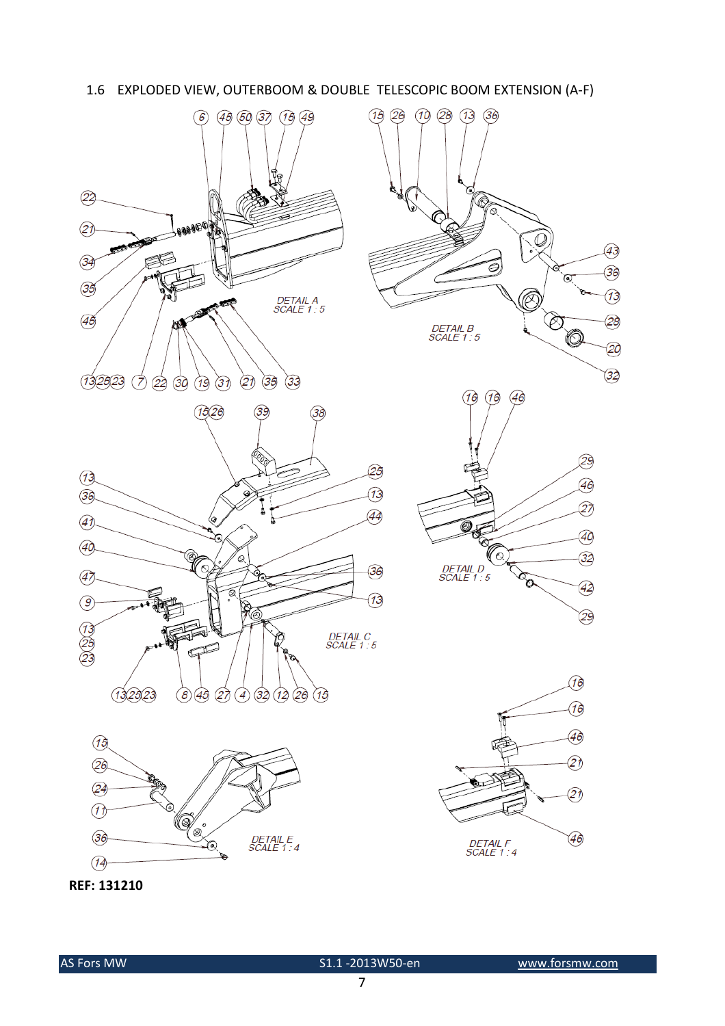









REF: 131210

 $(15)$ 

26 24

 $\mathcal{D}$ 

 $(36)$ 

 $\overline{14}$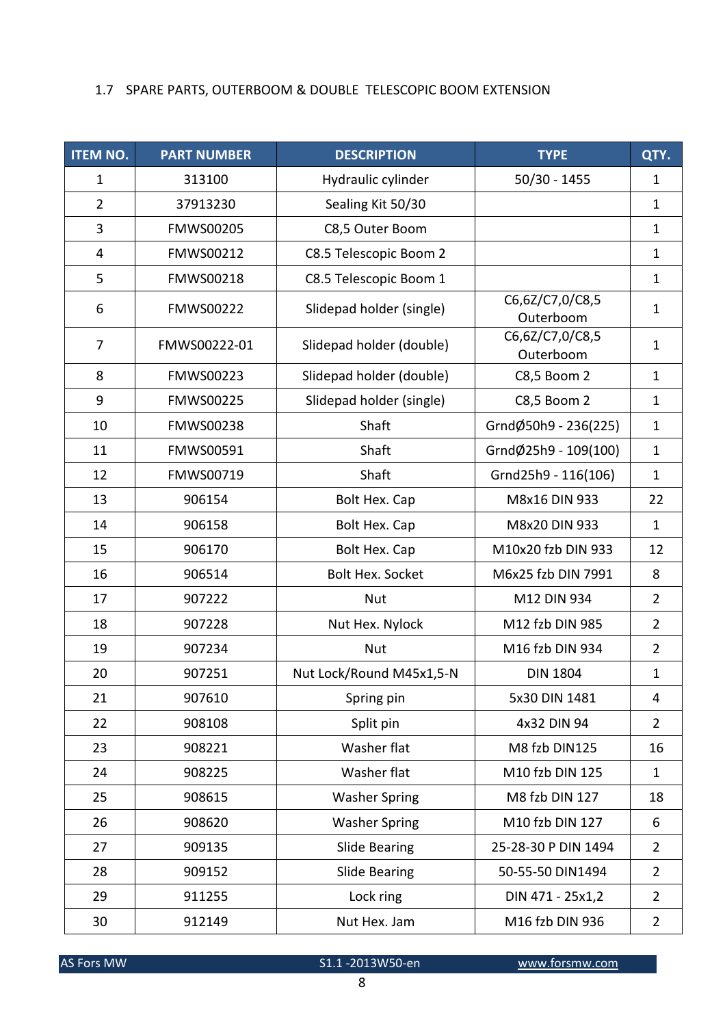## 1.7 SPARE PARTS, OUTERBOOM & DOUBLE TELESCOPIC BOOM EXTENSION

| <b>ITEM NO.</b> | <b>PART NUMBER</b>                             | <b>DESCRIPTION</b>       | <b>TYPE</b>                  | QTY.           |
|-----------------|------------------------------------------------|--------------------------|------------------------------|----------------|
| $\mathbf{1}$    | $50/30 - 1455$<br>313100<br>Hydraulic cylinder |                          |                              | $\mathbf{1}$   |
| $\overline{2}$  | 37913230                                       | Sealing Kit 50/30        |                              | $\mathbf{1}$   |
| 3               | <b>FMWS00205</b>                               | C8,5 Outer Boom          |                              | $\mathbf{1}$   |
| 4               | FMWS00212                                      | C8.5 Telescopic Boom 2   |                              | $\mathbf{1}$   |
| 5               | FMWS00218                                      | C8.5 Telescopic Boom 1   |                              | $\mathbf{1}$   |
| 6               | <b>FMWS00222</b>                               | Slidepad holder (single) | C6,6Z/C7,0/C8,5<br>Outerboom | $\mathbf{1}$   |
| 7               | FMWS00222-01                                   | Slidepad holder (double) | C6,6Z/C7,0/C8,5<br>Outerboom | $\mathbf{1}$   |
| 8               | <b>FMWS00223</b>                               | Slidepad holder (double) | C8,5 Boom 2                  | $\mathbf{1}$   |
| 9               | <b>FMWS00225</b>                               | Slidepad holder (single) | C8,5 Boom 2                  | $\mathbf{1}$   |
| 10              | <b>FMWS00238</b>                               | Shaft                    | GrndØ50h9 - 236(225)         | $\mathbf{1}$   |
| 11              | FMWS00591                                      | Shaft                    | GrndØ25h9 - 109(100)         | $\mathbf{1}$   |
| 12              | FMWS00719                                      | Shaft                    | Grnd25h9 - 116(106)          | $\mathbf{1}$   |
| 13              | 906154                                         | Bolt Hex. Cap            | M8x16 DIN 933                | 22             |
| 14              | 906158                                         | Bolt Hex. Cap            | M8x20 DIN 933                | $\mathbf{1}$   |
| 15              | 906170                                         | Bolt Hex. Cap            | M10x20 fzb DIN 933           | 12             |
| 16              | 906514                                         | <b>Bolt Hex. Socket</b>  | M6x25 fzb DIN 7991           | 8              |
| 17              | 907222                                         | <b>Nut</b>               | M12 DIN 934                  | $\overline{2}$ |
| 18              | 907228                                         | Nut Hex. Nylock          | M12 fzb DIN 985              | $\overline{2}$ |
| 19              | 907234                                         | <b>Nut</b>               | M16 fzb DIN 934              | $\overline{2}$ |
| 20              | 907251                                         | Nut Lock/Round M45x1,5-N | <b>DIN 1804</b>              | $\mathbf{1}$   |
| 21              | 907610                                         | Spring pin               | 5x30 DIN 1481                | 4              |
| 22              | 908108                                         | Split pin                | 4x32 DIN 94                  | $\overline{2}$ |
| 23              | 908221                                         | Washer flat              | M8 fzb DIN125                | 16             |
| 24              | 908225                                         | Washer flat              | M10 fzb DIN 125              | $\mathbf{1}$   |
| 25              | 908615                                         | <b>Washer Spring</b>     | M8 fzb DIN 127               | 18             |
| 26              | 908620                                         | <b>Washer Spring</b>     | M10 fzb DIN 127              | 6              |
| 27              | 909135                                         | <b>Slide Bearing</b>     | 25-28-30 P DIN 1494          | $\overline{2}$ |
| 28              | 909152                                         | <b>Slide Bearing</b>     | 50-55-50 DIN1494             | $\overline{2}$ |
| 29              | 911255                                         | Lock ring                | DIN 471 - 25x1,2             | $\overline{2}$ |
| 912149<br>30    |                                                | Nut Hex. Jam             | M16 fzb DIN 936              | $\overline{2}$ |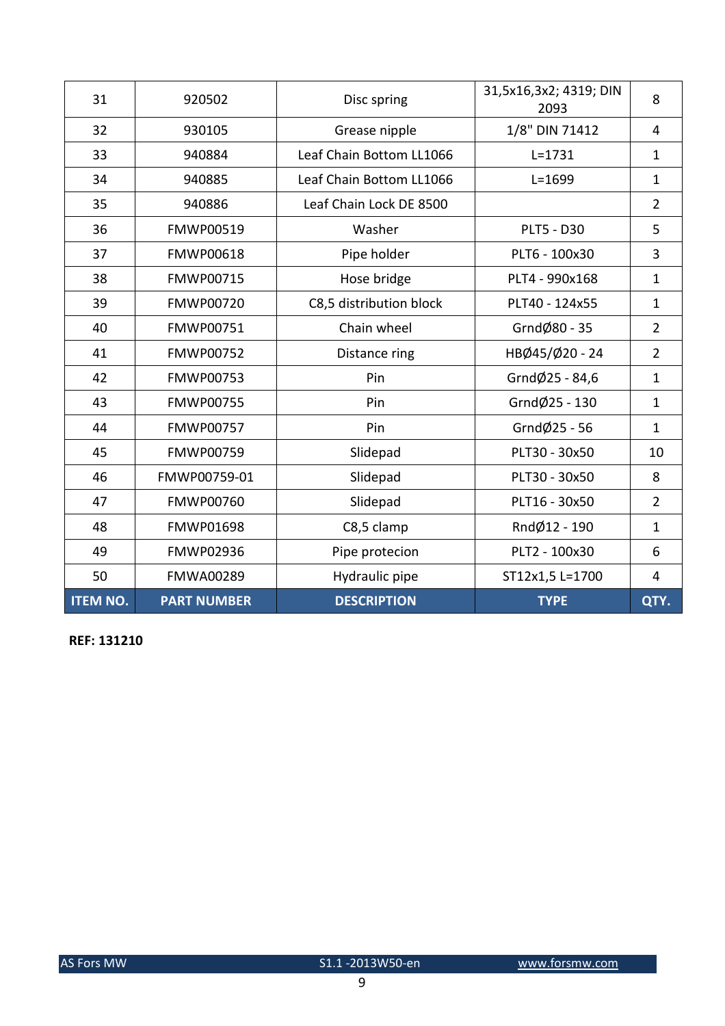| 31              | 920502                                              | Disc spring              | 31,5x16,3x2; 4319; DIN<br>2093 | 8              |
|-----------------|-----------------------------------------------------|--------------------------|--------------------------------|----------------|
| 32              | 1/8" DIN 71412<br>Grease nipple<br>930105           |                          |                                | $\overline{4}$ |
| 33              | 940884                                              | Leaf Chain Bottom LL1066 | $L = 1731$                     | $\mathbf{1}$   |
| 34              | 940885                                              | Leaf Chain Bottom LL1066 | $L = 1699$                     | $\mathbf{1}$   |
| 35              | 940886                                              | Leaf Chain Lock DE 8500  |                                | $\overline{2}$ |
| 36              | FMWP00519                                           | Washer                   | <b>PLT5 - D30</b>              | 5              |
| 37              | <b>FMWP00618</b>                                    | Pipe holder              | PLT6 - 100x30                  | 3              |
| 38              | <b>FMWP00715</b>                                    | Hose bridge              | PLT4 - 990x168                 | $\mathbf{1}$   |
| 39              | <b>FMWP00720</b>                                    | C8,5 distribution block  | PLT40 - 124x55                 | $\mathbf{1}$   |
| 40              | <b>FMWP00751</b>                                    | Chain wheel              | GrndØ80 - 35                   | $\overline{2}$ |
| 41              | <b>FMWP00752</b>                                    | Distance ring            | HBØ45/Ø20 - 24                 | $\overline{2}$ |
| 42              | <b>FMWP00753</b>                                    | Pin                      | GrndØ25 - 84,6                 | $\mathbf{1}$   |
| 43              | <b>FMWP00755</b>                                    | Pin                      | GrndØ25 - 130                  | $\mathbf{1}$   |
| 44              | Grnd $\emptyset$ 25 - 56<br><b>FMWP00757</b><br>Pin |                          |                                | $\mathbf{1}$   |
| 45              | <b>FMWP00759</b>                                    | Slidepad                 | PLT30 - 30x50                  | 10             |
| 46              | FMWP00759-01                                        | Slidepad                 | PLT30 - 30x50                  | 8              |
| 47              | <b>FMWP00760</b>                                    | Slidepad                 | PLT16 - 30x50                  | $\overline{2}$ |
| 48              | <b>FMWP01698</b>                                    | C8,5 clamp               | RndØ12 - 190                   | $\mathbf{1}$   |
| 49              | <b>FMWP02936</b>                                    | Pipe protecion           | PLT2 - 100x30                  | 6              |
| 50              | <b>FMWA00289</b>                                    | Hydraulic pipe           | ST12x1,5 L=1700                | 4              |
| <b>ITEM NO.</b> | <b>PART NUMBER</b>                                  | <b>DESCRIPTION</b>       | <b>TYPE</b>                    | QTY.           |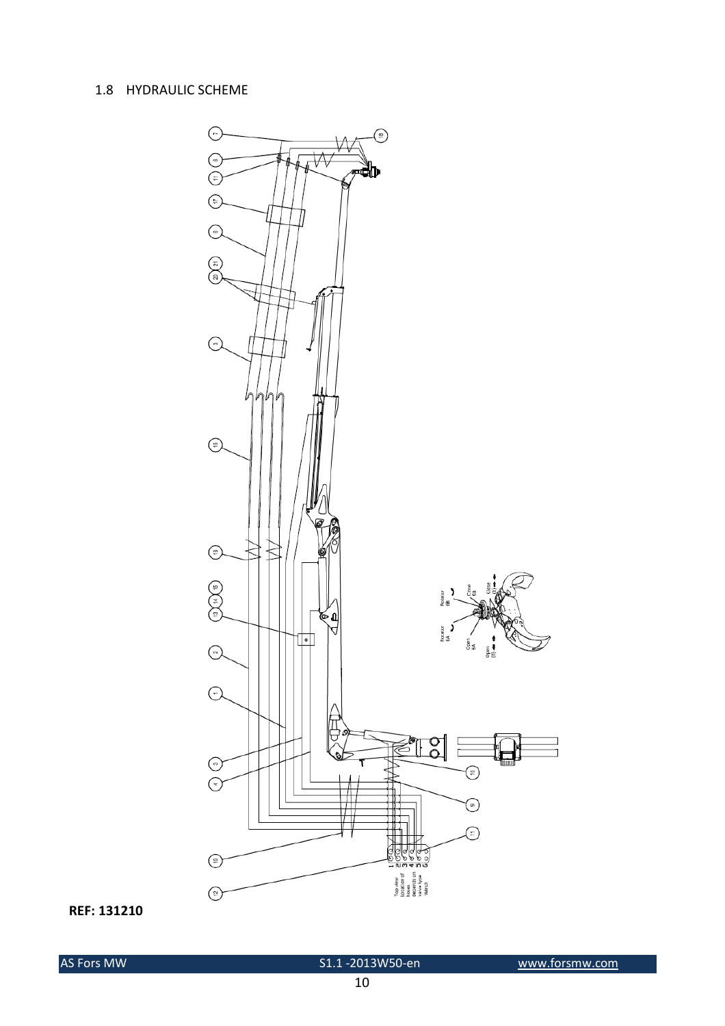#### 1.8 HYDRAULIC SCHEME

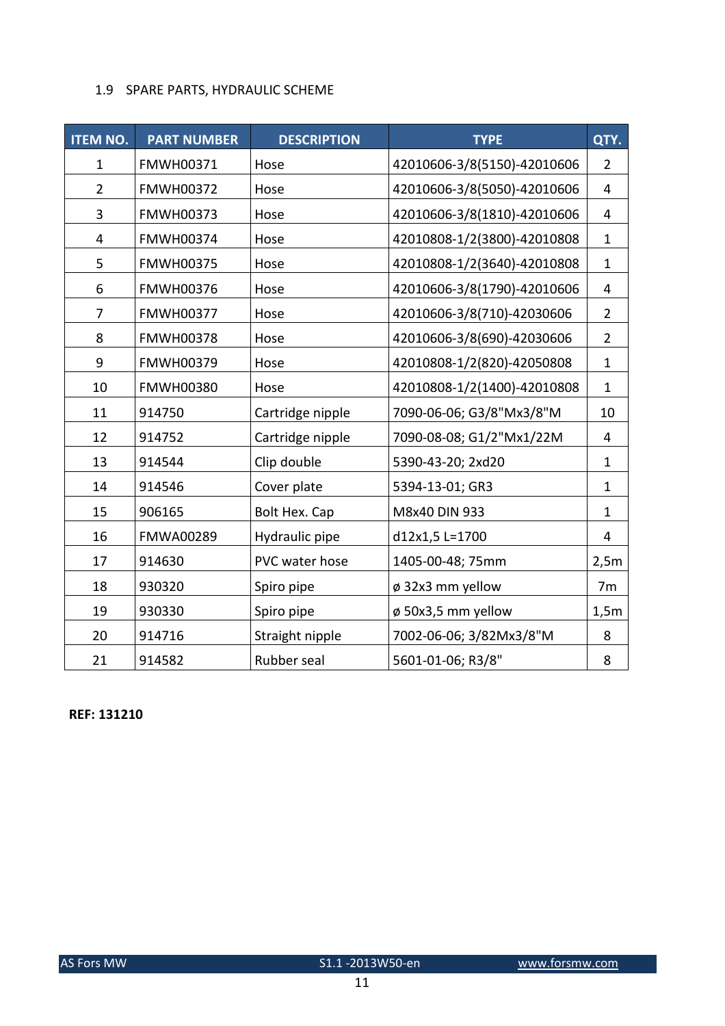#### 1.9 SPARE PARTS, HYDRAULIC SCHEME

| <b>ITEM NO.</b> | <b>PART NUMBER</b> | <b>DESCRIPTION</b> | <b>TYPE</b>                 | QTY.           |
|-----------------|--------------------|--------------------|-----------------------------|----------------|
| $\mathbf{1}$    | FMWH00371          | Hose               | 42010606-3/8(5150)-42010606 | $\overline{2}$ |
| $\overline{2}$  | <b>FMWH00372</b>   | Hose               | 42010606-3/8(5050)-42010606 | 4              |
| 3               | <b>FMWH00373</b>   | Hose               | 42010606-3/8(1810)-42010606 | 4              |
| 4               | <b>FMWH00374</b>   | Hose               | 42010808-1/2(3800)-42010808 | $\mathbf{1}$   |
| 5               | <b>FMWH00375</b>   | Hose               | 42010808-1/2(3640)-42010808 | 1              |
| 6               | <b>FMWH00376</b>   | Hose               | 42010606-3/8(1790)-42010606 | 4              |
| 7               | <b>FMWH00377</b>   | Hose               | 42010606-3/8(710)-42030606  | $\overline{2}$ |
| 8               | <b>FMWH00378</b>   | Hose               | 42010606-3/8(690)-42030606  | $\overline{2}$ |
| 9               | FMWH00379          | Hose               | 42010808-1/2(820)-42050808  | $\mathbf{1}$   |
| 10              | <b>FMWH00380</b>   | Hose               | 42010808-1/2(1400)-42010808 | $\mathbf{1}$   |
| 11              | 914750             | Cartridge nipple   | 7090-06-06; G3/8"Mx3/8"M    | 10             |
| 12              | 914752             | Cartridge nipple   | 7090-08-08; G1/2"Mx1/22M    | $\overline{4}$ |
| 13              | 914544             | Clip double        | 5390-43-20; 2xd20           | $\mathbf{1}$   |
| 14              | 914546             | Cover plate        | 5394-13-01; GR3             | $\mathbf{1}$   |
| 15              | 906165             | Bolt Hex. Cap      | M8x40 DIN 933               | $\mathbf{1}$   |
| 16              | <b>FMWA00289</b>   | Hydraulic pipe     | d12x1,5 L=1700              | 4              |
| 17              | 914630             | PVC water hose     | 1405-00-48; 75mm            | 2,5m           |
| 18              | 930320             | Spiro pipe         | ø 32x3 mm yellow            | 7 <sub>m</sub> |
| 19              | 930330             | Spiro pipe         | ø 50x3,5 mm yellow          | 1,5m           |
| 20              | 914716             | Straight nipple    | 7002-06-06; 3/82Mx3/8"M     | 8              |
| 21              | 914582             | Rubber seal        | 5601-01-06; R3/8"           | 8              |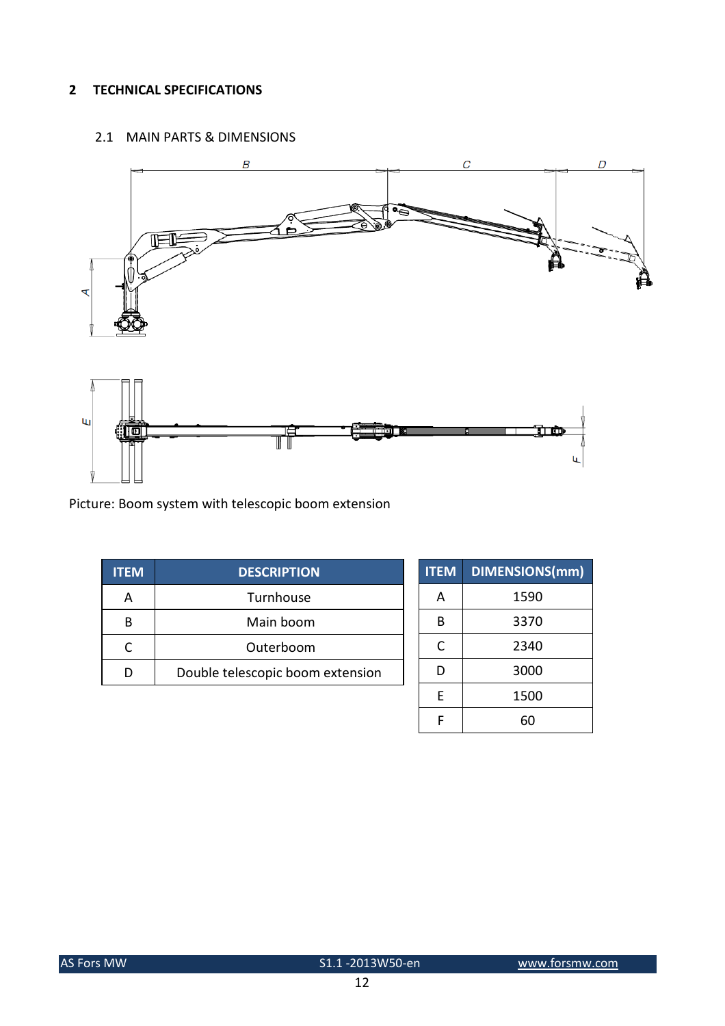#### 2 TECHNICAL SPECIFICATIONS

#### 2.1 MAIN PARTS & DIMENSIONS



Picture: Boom system with telescopic boom extension

| <b>ITEM</b> | <b>DESCRIPTION</b>               |
|-------------|----------------------------------|
|             | Turnhouse                        |
|             | Main boom                        |
|             | Outerboom                        |
|             | Double telescopic boom extension |
|             |                                  |

| <b>ITEM</b> | <b>DIMENSIONS(mm)</b> |
|-------------|-----------------------|
| А           | 1590                  |
| B           | 3370                  |
| C           | 2340                  |
| D           | 3000                  |
| F           | 1500                  |
|             |                       |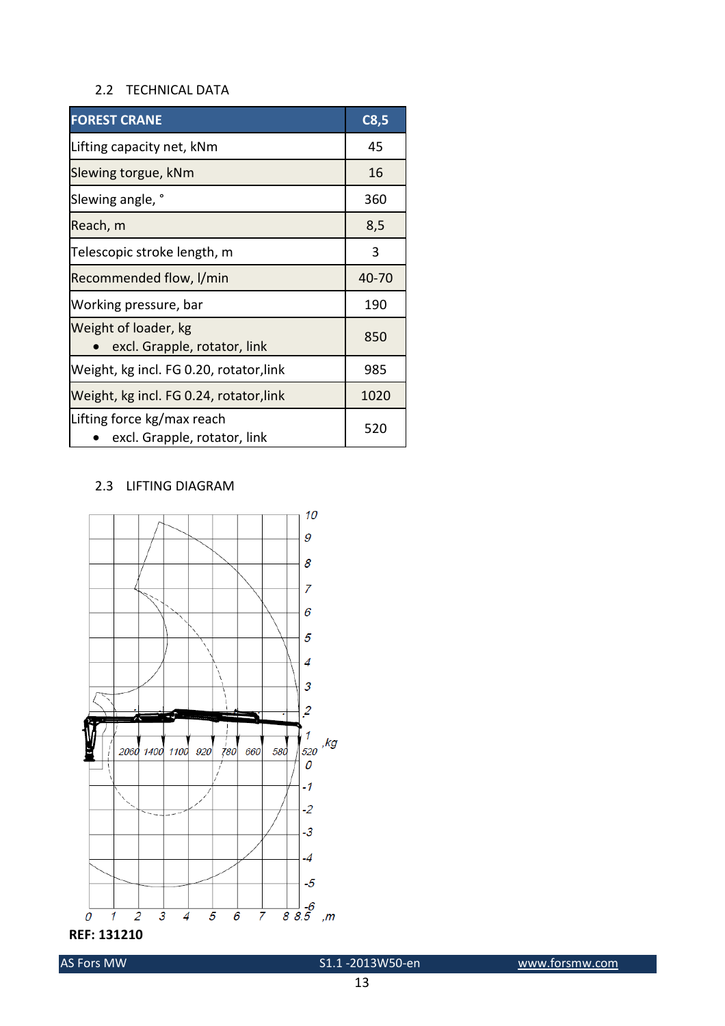#### 2.2 TECHNICAL DATA

| <b>FOREST CRANE</b>                                        | C8,5  |
|------------------------------------------------------------|-------|
| Lifting capacity net, kNm                                  | 45    |
| Slewing torgue, kNm                                        | 16    |
| Slewing angle, °                                           | 360   |
| Reach, m                                                   | 8,5   |
| Telescopic stroke length, m                                | 3     |
| Recommended flow, I/min                                    | 40-70 |
| Working pressure, bar                                      | 190   |
| Weight of loader, kg<br>excl. Grapple, rotator, link       | 850   |
| Weight, kg incl. FG 0.20, rotator, link                    | 985   |
| Weight, kg incl. FG 0.24, rotator, link                    | 1020  |
| Lifting force kg/max reach<br>excl. Grapple, rotator, link | 520   |

#### 2.3 LIFTING DIAGRAM



REF: 131210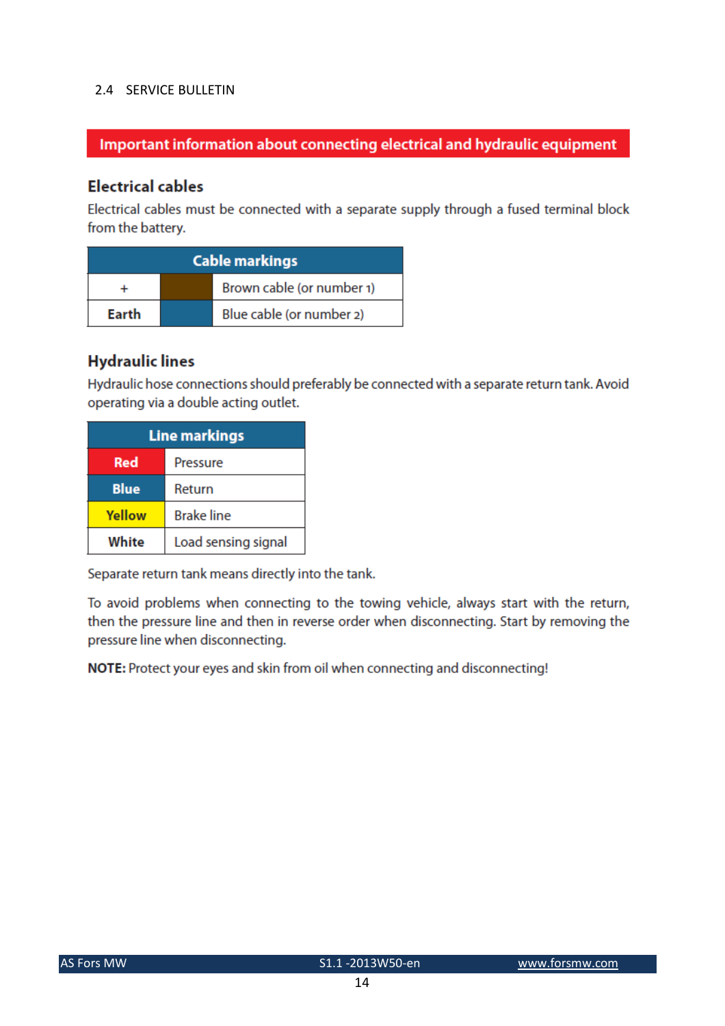#### 2.4 SERVICE BULLETIN

## Important information about connecting electrical and hydraulic equipment

## **Electrical cables**

Electrical cables must be connected with a separate supply through a fused terminal block from the battery.

| <b>Cable markings</b> |  |                           |  |
|-----------------------|--|---------------------------|--|
|                       |  | Brown cable (or number 1) |  |
| Earth                 |  | Blue cable (or number 2)  |  |

## **Hydraulic lines**

Hydraulic hose connections should preferably be connected with a separate return tank. Avoid operating via a double acting outlet.

| <b>Line markings</b>   |                     |  |
|------------------------|---------------------|--|
| <b>Red</b><br>Pressure |                     |  |
| <b>Blue</b>            | Return              |  |
| Yellow                 | <b>Brake line</b>   |  |
| White                  | Load sensing signal |  |

Separate return tank means directly into the tank.

To avoid problems when connecting to the towing vehicle, always start with the return, then the pressure line and then in reverse order when disconnecting. Start by removing the pressure line when disconnecting.

NOTE: Protect your eyes and skin from oil when connecting and disconnecting!